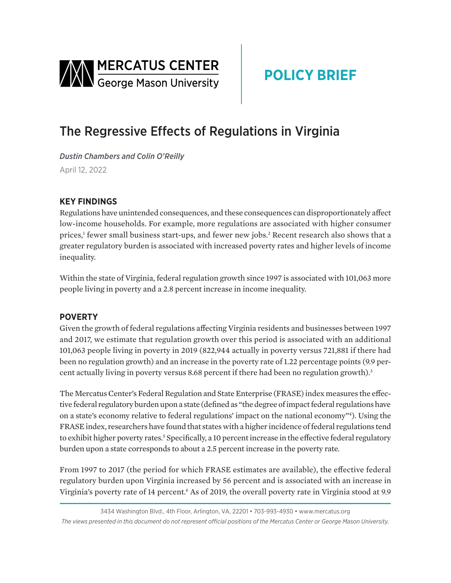<span id="page-0-0"></span>

# **POLICY BRIEF**

## The Regressive Effects of Regulations in Virginia

*Dustin Chambers and Colin O'Reilly*  April 12, 2022

### **KEY FINDINGS**

Regulations have unintended consequences, and these consequences can disproportionately affect low-income households. For example, more regulations are associated with higher consumer prices,<sup>[1](#page-2-0)</sup> fewer small business start-ups, and fewer new jobs.<sup>[2](#page-2-0)</sup> Recent research also shows that a greater regulatory burden is associated with increased poverty rates and higher levels of income inequality.

Within the state of Virginia, federal regulation growth since 1997 is associated with 101,063 more people living in poverty and a 2.8 percent increase in income inequality.

#### **POVERTY**

Given the growth of federal regulations affecting Virginia residents and businesses between 1997 and 2017, we estimate that regulation growth over this period is associated with an additional 101,063 people living in poverty in 2019 (822,944 actually in poverty versus 721,881 if there had been no regulation growth) and an increase in the poverty rate of 1.22 percentage points (9.9 per-cent actually living in poverty versus 8.68 percent if there had been no regulation growth).<sup>[3](#page-2-0)</sup>

The Mercatus Center's Federal Regulation and State Enterprise (FRASE) index measures the effective federal regulatory burden upon a state (defined as "the degree of impact federal regulations have on a state's economy relative to federal regulations' impact on the national economy["4](#page-2-0) ). Using the FRASE index, researchers have found that states with a higher incidence of federal regulations tend to exhibit higher poverty rates.<sup>5</sup> Specifically, a 10 percent increase in the effective federal regulatory burden upon a state corresponds to about a 2.5 percent increase in the poverty rate.

From 1997 to 2017 (the period for which FRASE estimates are available), the effective federal regulatory burden upon Virginia increased by 56 percent and is associated with an increase in Virginia's poverty rate of 14 percent.<sup>6</sup> As of 2019, the overall poverty rate in Virginia stood at 9.9

<sup>3434</sup> Washington Blvd., 4th Floor, Arlington, VA, 22201 • 703-993-4930 • www.mercatus.org *The views presented in this document do not represent official positions of the Mercatus Center or George Mason University.*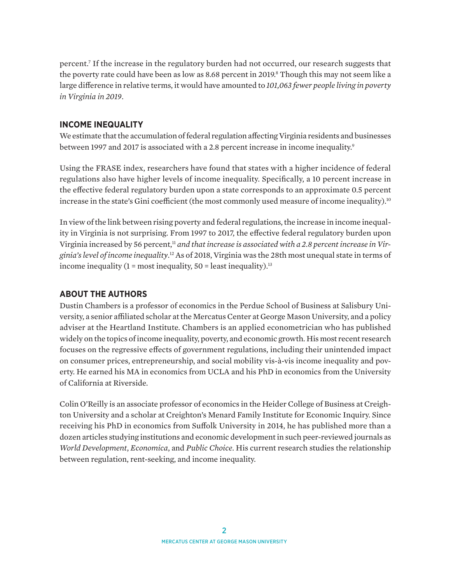<span id="page-1-0"></span>percent[.7](#page-2-0) If the increase in the regulatory burden had not occurred, our research suggests that the poverty rate could have been as low as 8.68 percent in 2019.<sup>8</sup> Though this may not seem like a large difference in relative terms, it would have amounted to *101,063 fewer people living in poverty in Virginia in 2019*.

#### **INCOME INEQUALITY**

We estimate that the accumulation of federal regulation affecting Virginia residents and businesses between 1997 and 2017 is associated with a 2.8 percent increase in income inequality.<sup>9</sup>

Using the FRASE index, researchers have found that states with a higher incidence of federal regulations also have higher levels of income inequality. Specifically, a 10 percent increase in the effective federal regulatory burden upon a state corresponds to an approximate 0.5 percent increase in the state's Gini coefficient (the most commonly used measure of income inequality).<sup>[10](#page-2-0)</sup>

In view of the link between rising poverty and federal regulations, the increase in income inequality in Virginia is not surprising. From 1997 to 2017, the effective federal regulatory burden upon Virginia increased by 56 percent,<sup>[11](#page-2-0)</sup> and that increase is associated with a 2.8 percent increase in Vir*ginia's level of income inequality*. [12](#page-2-0) As of 2018, Virginia was the 28th most unequal state in terms of income inequality  $(1 = \text{most inequality}, 50 = \text{least inequality})$ .<sup>[13](#page-2-0)</sup>

#### **ABOUT THE AUTHORS**

Dustin Chambers is a professor of economics in the Perdue School of Business at Salisbury University, a senior affiliated scholar at the Mercatus Center at George Mason University, and a policy adviser at the Heartland Institute. Chambers is an applied econometrician who has published widely on the topics of income inequality, poverty, and economic growth. His most recent research focuses on the regressive effects of government regulations, including their unintended impact on consumer prices, entrepreneurship, and social mobility vis-à-vis income inequality and poverty. He earned his MA in economics from UCLA and his PhD in economics from the University of California at Riverside.

Colin O'Reilly is an associate professor of economics in the Heider College of Business at Creighton University and a scholar at Creighton's Menard Family Institute for Economic Inquiry. Since receiving his PhD in economics from Suffolk University in 2014, he has published more than a dozen articles studying institutions and economic development in such peer-reviewed journals as *World Development*, *Economica*, and *Public Choice*. His current research studies the relationship between regulation, rent-seeking, and income inequality.